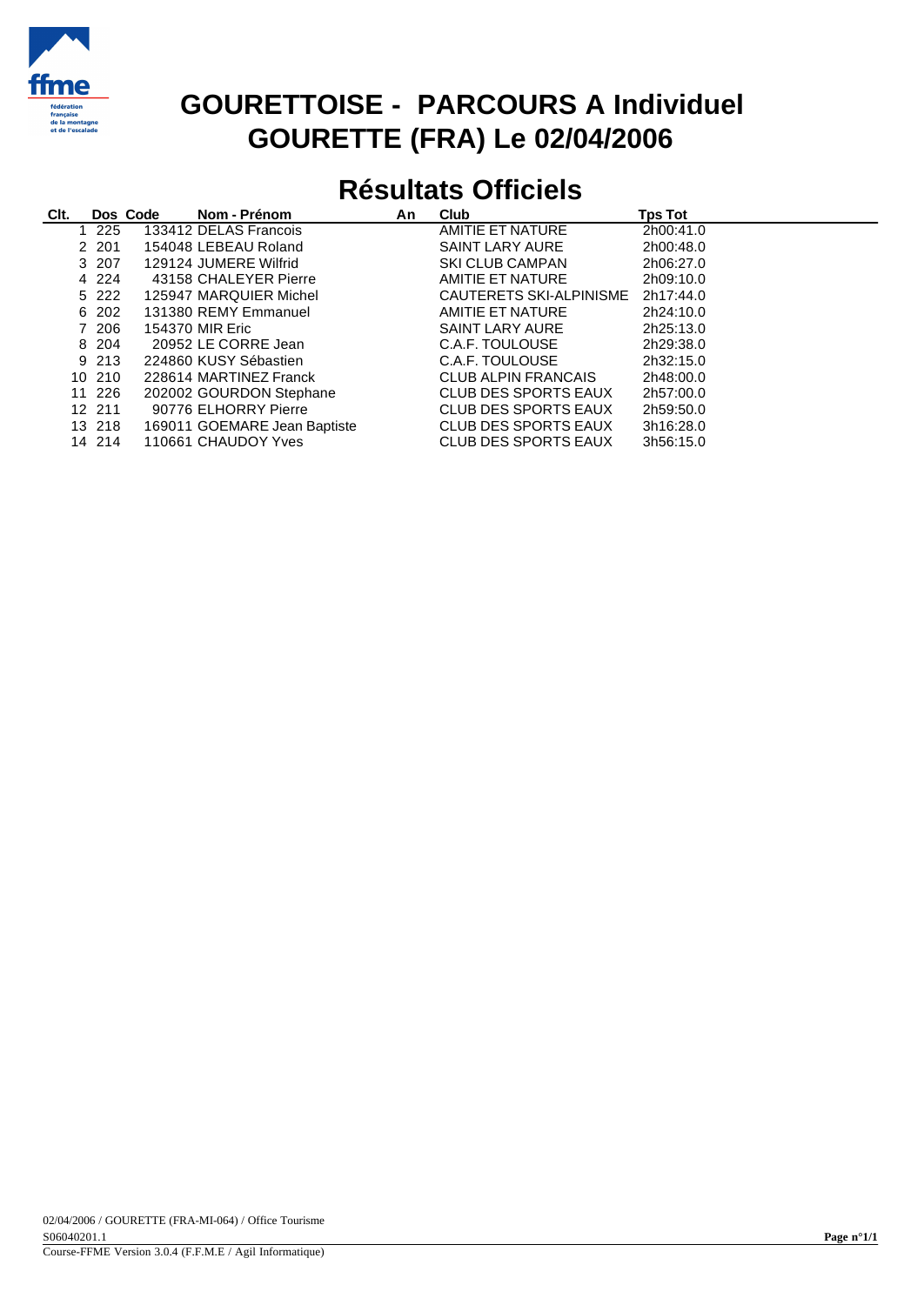

## **GOURETTOISE - PARCOURS A Individuel GOURETTE (FRA) Le 02/04/2006**

## **Résultats Officiels**

| CIt. |         | Dos Code | Nom - Prénom                 | An | Club                       | <b>Tps Tot</b> |
|------|---------|----------|------------------------------|----|----------------------------|----------------|
|      | 1 225   |          | 133412 DELAS Francois        |    | AMITIE ET NATURE           | 2h00:41.0      |
|      | 2 201   |          | 154048 LEBEAU Roland         |    | <b>SAINT LARY AURE</b>     | 2h00:48.0      |
|      | 3 207   |          | 129124 JUMERE Wilfrid        |    | <b>SKI CLUB CAMPAN</b>     | 2h06:27.0      |
|      | 4 2 2 4 |          | 43158 CHALEYER Pierre        |    | AMITIE ET NATURE           | 2h09:10.0      |
|      | 5 2 2 2 |          | 125947 MARQUIER Michel       |    | CAUTERETS SKI-ALPINISME    | 2h17:44.0      |
|      | 6 202   |          | 131380 REMY Emmanuel         |    | AMITIE ET NATURE           | 2h24:10.0      |
|      | 7 206   |          | 154370 MIR Eric              |    | <b>SAINT LARY AURE</b>     | 2h25:13.0      |
|      | 8 204   |          | 20952 LE CORRE Jean          |    | C.A.F. TOULOUSE            | 2h29:38.0      |
|      | 9 213   |          | 224860 KUSY Sébastien        |    | C.A.F. TOULOUSE            | 2h32:15.0      |
|      | 10 210  |          | 228614 MARTINEZ Franck       |    | <b>CLUB ALPIN FRANCAIS</b> | 2h48:00.0      |
|      | 11 226  |          | 202002 GOURDON Stephane      |    | CLUB DES SPORTS EAUX       | 2h57:00.0      |
|      | 12 211  |          | 90776 ELHORRY Pierre         |    | CLUB DES SPORTS EAUX       | 2h59:50.0      |
|      | 13 218  |          | 169011 GOEMARE Jean Baptiste |    | CLUB DES SPORTS EAUX       | 3h16:28.0      |
|      | 14 214  |          | 110661 CHAUDOY Yves          |    | CLUB DES SPORTS EAUX       | 3h56:15.0      |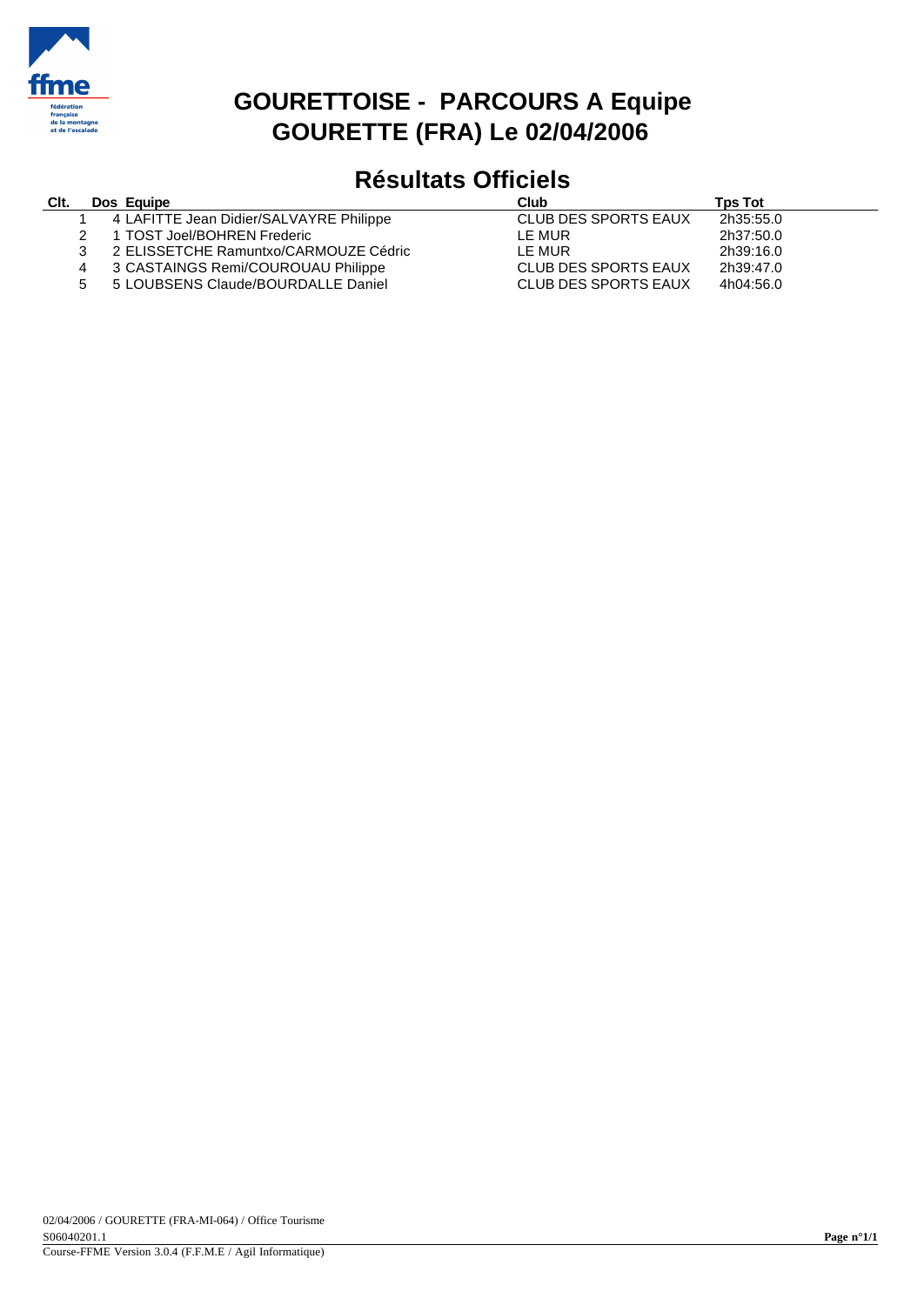

### **GOURETTOISE - PARCOURS A Equipe GOURETTE (FRA) Le 02/04/2006**

# **Résultats Officiels**

#### **Clt. Dos Equipe Club Tps Tot**

| 4 LAFITTE Jean Didier/SALVAYRE Philippe | CLUB DES SPORTS EAUX | 2h35:55.0 |
|-----------------------------------------|----------------------|-----------|
|-----------------------------------------|----------------------|-----------|

- 
- 2 1 TOST Joel/BOHREN Frederic<br>3 2 ELISSETCHE Ramuntxo/CAR
- 3 2 ELISSETCHE Ramuntxo/CARMOUZE Cédric<br>4 3 CASTAINGS Remi/COUROUAU Philippe
- 4 3 CASTAINGS Remi/COUROUAU Philippe<br>5 5 LOUBSENS Claude/BOURDALLE Daniel 5 5 LOUBSENS Claude/BOURDALLE Daniel CLUB DES SPORTS EAUX 4h04:56.0

|                      | .         |
|----------------------|-----------|
| CLUB DES SPORTS EAUX | 2h35:55.0 |
| LE MUR               | 2h37:50.0 |
| LE MUR               | 2h39:16.0 |
| CLUB DES SPORTS EAUX | 2h39:47.0 |
| CLUB DES SPORTS EAUX | 4h04:56.0 |